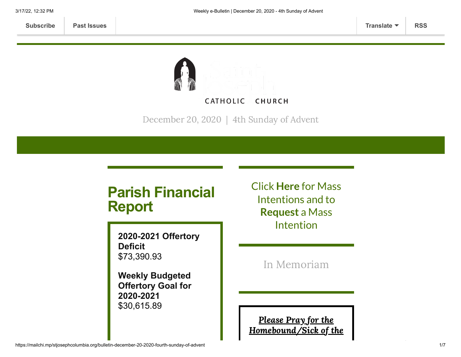**CATHOLIC CHURCH** 

December 20, 2020 | 4th Sunday of Advent

# **Parish Financial Report**

**2020-2021 Offertory Deficit** \$73,390.93

**Weekly Budgeted Offertory Goal for 2020-2021** \$30,615.89

Click **[Here](https://www.stjosephcolumbia.org/mass-intentions)** for Mass Intentions and to **[Request](https://www.stjosephcolumbia.org/mass-intention-requests)** a Mass Intention

In [Memoriam](https://www.stjosephcolumbia.org/in-memoriam)

Please Pray for the [Homebound/Sick](https://www.stjosephcolumbia.org/pray-for-the-homebound-sick-of-pari) of the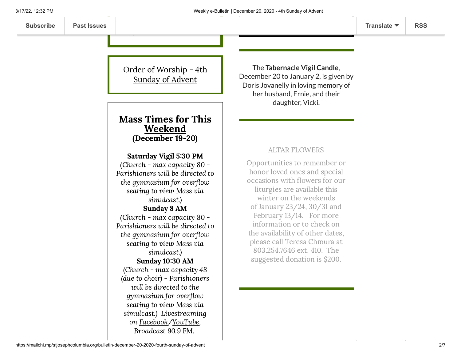Order [of Worship](https://84aadc19-53c5-40cc-90da-b6ef66a7e382.filesusr.com/ugd/2de225_2cc5ba8bf26b4f9296ce1102f3e883ac.pdf) - 4th Sunday of Advent

 $\ddotsc$ 

### Mass Times for This Weekend (December 19-20)

### Saturday Vigil 5:30 PM

(Church - max capacity 80 - Parishioners will be directed to the gymnasium for overflow seating to view Mass via simulcast.) Sunday 8 AM (Church - max capacity 80 - Parishioners will be directed to the gymnasium for overflow seating to view Mass via simulcast.) Sunday 10:30 AM (Church - max capacity 48 (due to choir) - Parishioners will be directed to the gymnasium for overflow seating to view Mass via simulcast.) Livestreaming on [Facebook](https://www.facebook.com/stjosephcolumbia/)[/YouTube](https://www.youtube.com/c/StJosephCatholicChurchColumbiaSC), Broadcast 90.9 FM.

The **Tabernacle Vigil Candle**, December 20 to January 2, is given by Doris Jovanelly in loving memory of her husband, Ernie, and their daughter, Vicki.

### ALTAR FLOWERS

Opportunities to remember or honor loved ones and special occasions with flowers for our liturgies are available this winter on the weekends of January 23/24, 30/31 and February 13/14. For more information or to check on the availability of other dates, please call Teresa Chmura at 803.254.7646 ext. 410. The suggested donation is \$200.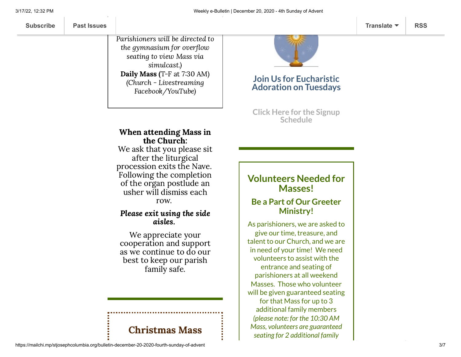Parishioners will be directed to the gymnasium for overflow seating to view Mass via simulcast.) Daily Mass (T-F at 7:30 AM) (Church - Livestreaming Facebook/YouTube)



### **Join Us for Eucharistic Adoration on Tuesdays**

**Click Here for the Signup [Schedule](https://www.signupgenius.com/go/60b0c4faea822a7fa7-eucharistic)**

### When attending Mass in the Church:

We ask that you please sit after the liturgical procession exits the Nave. Following the completion of the organ postlude an usher will dismiss each row.

### Please exit using the side aisles.

We appreciate your cooperation and support as we continue to do our best to keep our parish family safe.

# Christmas Mass

## **Volunteers Needed for Masses!**

## **Be a Part of Our Greeter Ministry!**

As parishioners, we are asked to give our time, treasure, and talent to our Church, and we are in need of your time! We need volunteers to assist with the entrance and seating of parishioners at all weekend Masses. Those who volunteer will be given guaranteed seating for that Mass for up to 3 additional family members *(please note: for the 10:30 AM Mass, volunteers are guaranteed seating for 2 additional family*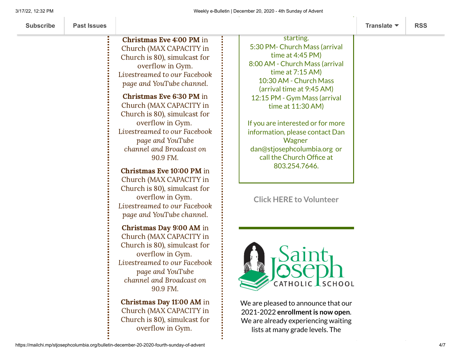| <b>Subscribe</b> | <b>Past Issues</b> |                                                                                                                                                                                                                                                                                                                                                        |                                                                                                                                                                                                                                                    | Translate $\blacktriangledown$ | <b>RSS</b> |
|------------------|--------------------|--------------------------------------------------------------------------------------------------------------------------------------------------------------------------------------------------------------------------------------------------------------------------------------------------------------------------------------------------------|----------------------------------------------------------------------------------------------------------------------------------------------------------------------------------------------------------------------------------------------------|--------------------------------|------------|
|                  |                    | <b>Christmas Eve 4:00 PM in</b><br>Church (MAX CAPACITY in<br>Church is 80), simulcast for<br>overflow in Gym.<br>Livestreamed to our Facebook<br>page and YouTube channel.                                                                                                                                                                            | starting.<br>5:30 PM- Church Mass (arrival<br>time at $4:45$ PM)<br>8:00 AM - Church Mass (arrival<br>time at $7:15$ AM)<br>10:30 AM - Church Mass<br>(arrival time at 9:45 AM)                                                                    |                                |            |
|                  |                    | <b>Christmas Eve 6:30 PM in</b><br>Church (MAX CAPACITY in<br>Church is 80), simulcast for<br>overflow in Gym.<br>Livestreamed to our Facebook<br>page and YouTube<br>channel and Broadcast on<br>90.9 FM.<br>Christmas Eve 10:00 PM in<br>Church (MAX CAPACITY in<br>Church is 80), simulcast for<br>overflow in Gym.<br>Livestreamed to our Facebook | 12:15 PM - Gym Mass (arrival<br>time at 11:30 AM)<br>If you are interested or for more<br>information, please contact Dan<br>Wagner<br>dan@stjosephcolumbia.org or<br>call the Church Office at<br>803.254.7646.<br><b>Click HERE to Volunteer</b> |                                |            |
|                  |                    | page and YouTube channel.<br>Christmas Day 9:00 AM in<br>Church (MAX CAPACITY in<br>Church is 80), simulcast for<br>overflow in Gym.<br>Livestreamed to our Facebook<br>page and YouTube<br>channel and Broadcast on<br>90.9 FM.<br>Christmas Day 11:00 AM in<br>Church (MAX CAPACITY in<br>Church is 80), simulcast for<br>overflow in Gym.           | CATHOLIC SCHOOL<br>We are pleased to announce that our<br>2021-2022 enrollment is now open.<br>We are already experiencing waiting<br>lists at many grade levels. The                                                                              |                                |            |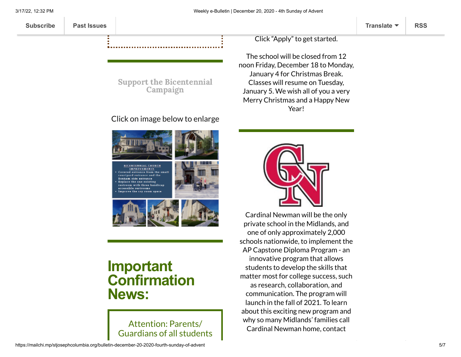**[Subscribe](http://eepurl.com/ded6Lz) [Past Issues](https://us9.campaign-archive.com/home/?u=7399f6b35c8ab775fb1714c3d&id=770b4a80d3) [Translate](javascript:;) [RSS](https://us9.campaign-archive.com/feed?u=7399f6b35c8ab775fb1714c3d&id=770b4a80d3)**

Click "Apply" to get started.

The school will be closed from 12 noon Friday, December 18 to Monday, January 4 for Christmas Break. Classes will resume on Tuesday, January 5. We wish all of you a very Merry Christmas and a Happy New Year!

## Click on image below to enlarge

Support the [Bicentennial](https://www.stjosephcolumbia.org/bicentennial-campaign) Campaign

**BICENTENNIAL CHURCH**<br>IMPROVEMENTS Covered entrance from the small eurtyard entrance and the lonham side entrance Replace the one existing restroom with three handicap<br>accessible restrooms

# **Important Confirmation News:**

Attention: Parents/ Guardians of all students



Cardinal Newman will be the only private school in the Midlands, and one of only approximately 2,000 schools nationwide, to implement the AP Capstone Diploma Program - an innovative program that allows students to develop the skills that matter most for college success, such as research, collaboration, and communication. The program will launch in the fall of 2021. To learn about this exciting new program and why so many Midlands' families call Cardinal Newman home, contact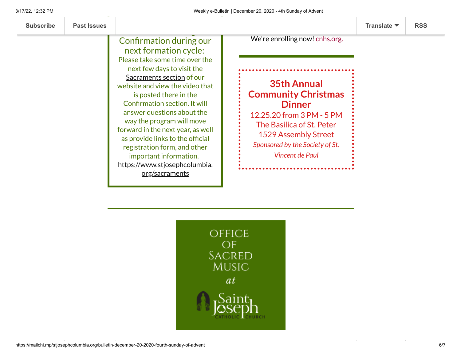that are seeking Confirmation during our next formation cycle: Please take some time over the next few days to visit the [Sacraments](https://www.stjosephcolumbia.org/sacraments) section of our website and view the video that is posted there in the Confirmation section. It will answer questions about the way the program will move forward in the next year, as well as provide links to the official registration form, and other important information. [https://www.stjosephcolumbia.](https://www.stjosephcolumbia.org/sacraments) org/sacraments

We're enrolling now! [cnhs.org.](https://linkprotect.cudasvc.com/url?a=http%3a%2f%2fcnhs.org%2f&c=E,1,2Mo_JMIHaB-c0zDGWr3EWDa6xbquZA7_LbN_2yW6tVEzzoVFJuYR-yOyo74vaHA3Nld6C9fPp4T4VwyMCAHgBev-_5yWadDlo-TQPQSKJUhDGhM,&typo=1)

**35th Annual Community Christmas Dinner** 12.25.20 from 3 PM - 5 PM The Basilica of St. Peter 1529 Assembly Street *Sponsored by the Society of St. Vincent de Paul*